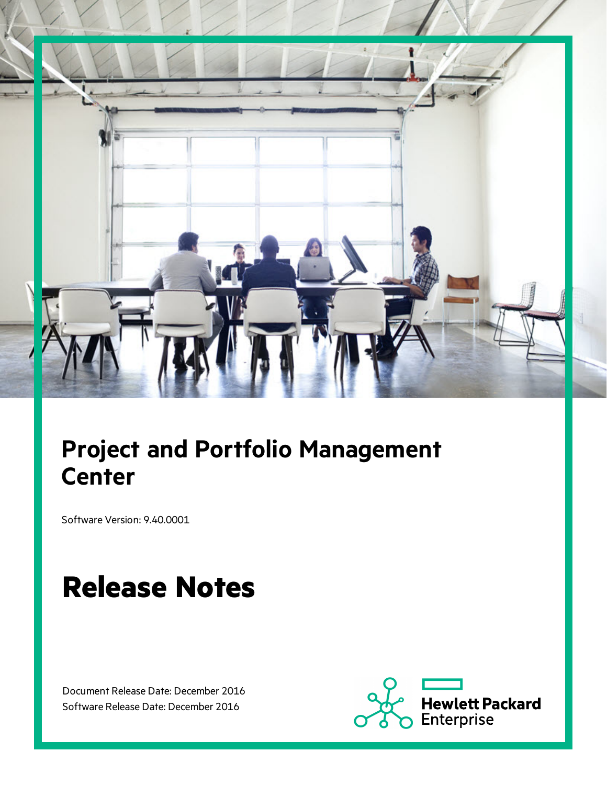

# **Project and Portfolio Management Center**

Software Version: 9.40.0001

# **Release Notes**

Document Release Date: December 2016 Software Release Date: December 2016

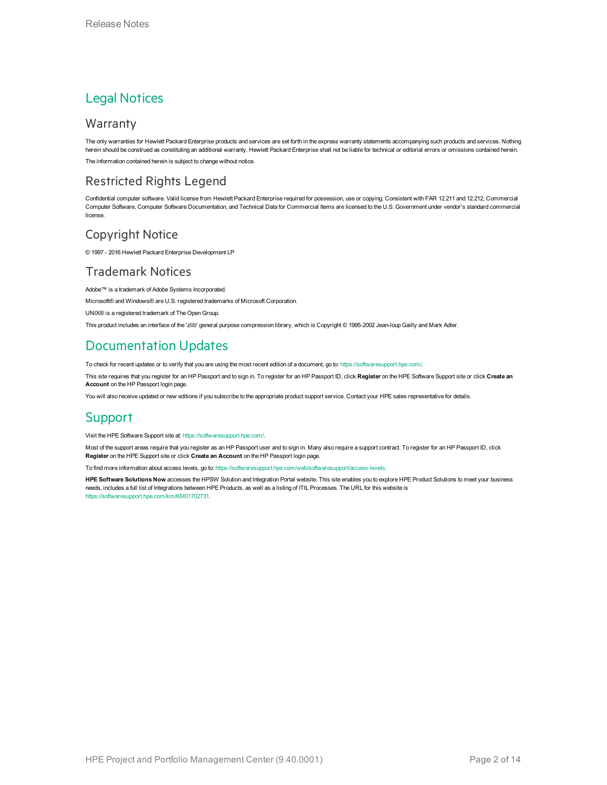#### Legal Notices

#### Warranty

The only warranties for Hewlett Packard Enterprise products and services are set forth in the express warranty statements accompanying such products and services. Nothing herein should be construed as constituting an additional warranty. Hewlett Packard Enterprise shall not be liable for technical or editorial errors or omissions contained herein. The information contained herein is subject to change without notice.

#### Restricted Rights Legend

Confidential computer software. Valid license from Hewlett Packard Enterprise required for possession, use or copying. Consistent with FAR 12.211 and 12.212, Commercial Computer Software, Computer Software Documentation, and Technical Data for Commercial Items are licensed to the U.S. Government under vendor's standard commercial license.

#### Copyright Notice

© 1997 - 2016 Hewlett Packard Enterprise Development LP

#### Trademark Notices

Adobe™ is a trademark of Adobe Systems Incorporated.

Microsoft® and Windows® are U.S. registered trademarks of Microsoft Corporation.

UNIX® is a registered trademark of The Open Group.

This product includes an interface of the 'zlib' general purpose compression library, which is Copyright © 1995-2002 Jean-loup Gailly and Mark Adler.

#### Documentation Updates

To check for recent updates or to verify that you are using the most recent edition of a document, go to: <https://softwaresupport.hpe.com/>.

This site requires that you register for an HP Passport and to sign in. To register for an HP Passport ID, click **Register** on the HPE Software Support site or click **Create an Account** on the HP Passport login page.

You will also receive updated or new editions if you subscribe to the appropriate product support service. Contact your HPE sales representative for details.

#### Support

Visit the HPE Software Support site at: <https://softwaresupport.hpe.com/>.

Most of the support areas require that you register as an HP Passport user and to sign in. Many also require a support contract. To register for an HP Passport ID, click **Register** on the HPE Support site or click **Create an Account** on the HP Passport login page.

To find more information about access levels, go to: <https://softwaresupport.hpe.com/web/softwaresupport/access-levels>.

**HPE Software Solutions Now** accesses the HPSW Solution and Integration Portal website. This site enables you to explore HPE Product Solutions to meet your business needs, includes a full list of Integrations between HPE Products, as well as a listing of ITIL Processes. The URL for this website is [https://softwaresupport.hpe.com/km/KM01702731.](https://softwaresupport.hpe.com/km/KM01702731)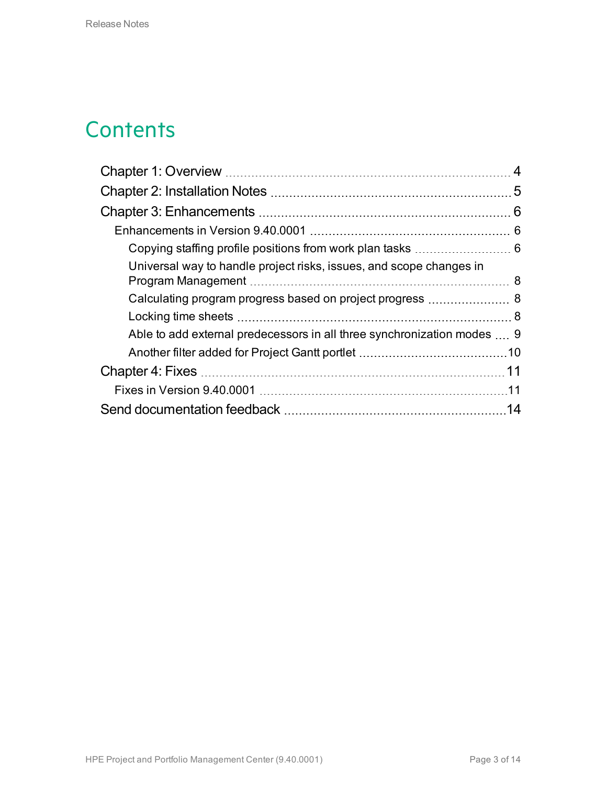## **Contents**

|                                                                         | 4  |
|-------------------------------------------------------------------------|----|
|                                                                         |    |
|                                                                         |    |
|                                                                         |    |
|                                                                         |    |
| Universal way to handle project risks, issues, and scope changes in     |    |
|                                                                         |    |
|                                                                         |    |
| Able to add external predecessors in all three synchronization modes  9 |    |
|                                                                         |    |
|                                                                         |    |
|                                                                         |    |
|                                                                         | 14 |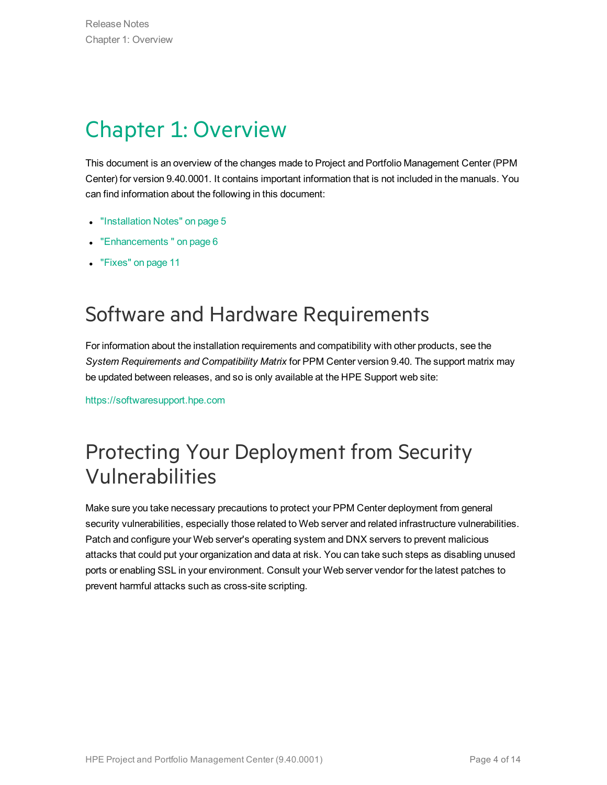# <span id="page-3-0"></span>Chapter 1: Overview

This document is an overview of the changes made to Project and Portfolio Management Center (PPM Center) for version 9.40.0001. It contains important information that is not included in the manuals. You can find information about the following in this document:

- ["Installation](#page-4-0) Notes" on page 5
- ["Enhancements](#page-5-0)" on page 6
- "Fixes" on [page 11](#page-10-0)

## Software and Hardware Requirements

For information about the installation requirements and compatibility with other products, see the *System Requirements and Compatibility Matrix* for PPM Center version 9.40. The support matrix may be updated between releases, and so is only available at the HPE Support web site:

[https://softwaresupport.hpe.com](https://softwaresupport.hpe.com/)

## Protecting Your Deployment from Security Vulnerabilities

Make sure you take necessary precautions to protect your PPM Center deployment from general security vulnerabilities, especially those related to Web server and related infrastructure vulnerabilities. Patch and configure your Web server's operating system and DNX servers to prevent malicious attacks that could put your organization and data at risk. You can take such steps as disabling unused ports or enabling SSL in your environment. Consult your Web server vendor for the latest patches to prevent harmful attacks such as cross-site scripting.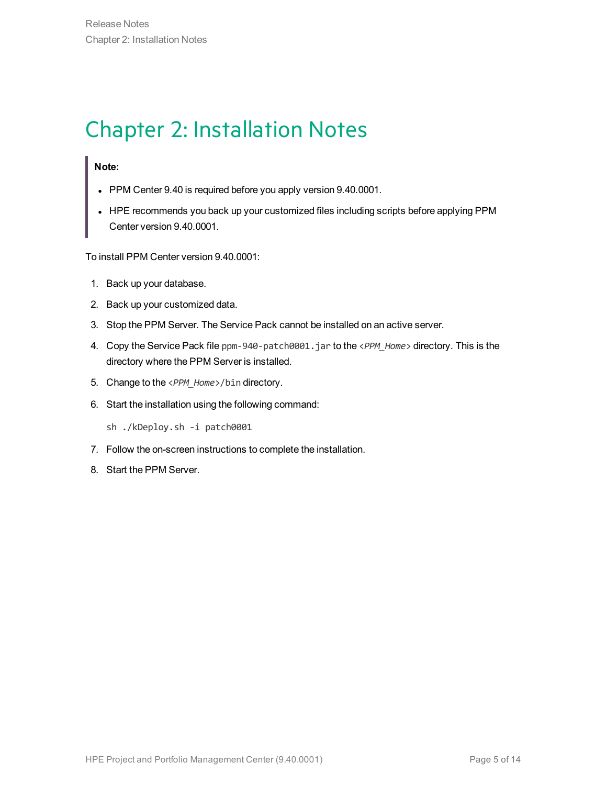## <span id="page-4-0"></span>Chapter 2: Installation Notes

#### **Note:**

- PPM Center 9.40 is required before you apply version 9.40.0001.
- HPE recommends you back up your customized files including scripts before applying PPM Center version 9.40.0001.

To install PPM Center version 9.40.0001:

- 1. Back up your database.
- 2. Back up your customized data.
- 3. Stop the PPM Server. The Service Pack cannot be installed on an active server.
- 4. Copy the Service Pack file ppm-940-patch0001.jar to the <*PPM\_Home*> directory. This is the directory where the PPM Server is installed.
- 5. Change to the <*PPM\_Home*>/bin directory.
- 6. Start the installation using the following command:

sh ./kDeploy.sh -i patch0001

- 7. Follow the on-screen instructions to complete the installation.
- 8. Start the PPM Server.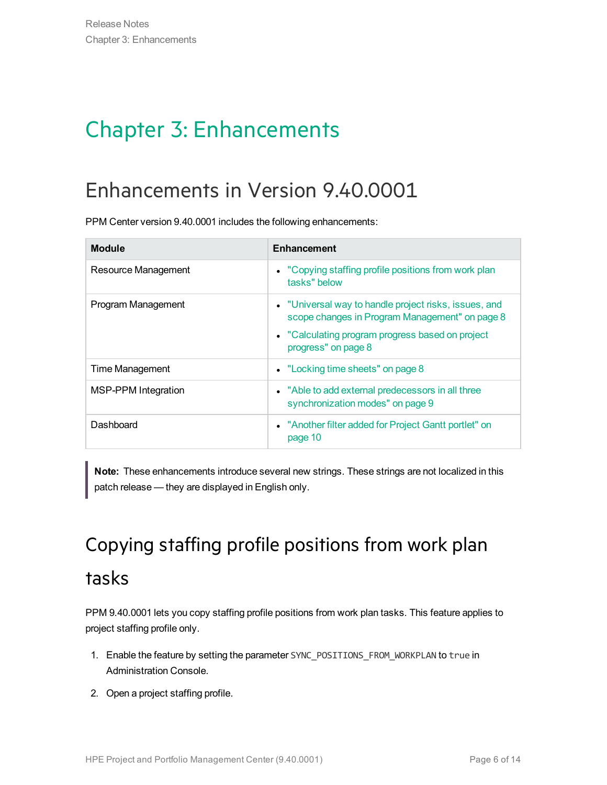# <span id="page-5-0"></span>Chapter 3: Enhancements

## <span id="page-5-1"></span>Enhancements in Version 9.40.0001

PPM Center version 9.40.0001 includes the following enhancements:

| <b>Module</b>       | <b>Enhancement</b>                                                                                                                                                                 |
|---------------------|------------------------------------------------------------------------------------------------------------------------------------------------------------------------------------|
| Resource Management | • "Copying staffing profile positions from work plan<br>tasks" below                                                                                                               |
| Program Management  | • "Universal way to handle project risks, issues, and<br>scope changes in Program Management" on page 8<br>• "Calculating program progress based on project<br>progress" on page 8 |
| Time Management     | • "Locking time sheets" on page 8                                                                                                                                                  |
| MSP-PPM Integration | • "Able to add external predecessors in all three<br>synchronization modes" on page 9                                                                                              |
| Dashboard           | • "Another filter added for Project Gantt portlet" on<br>page 10                                                                                                                   |

<span id="page-5-2"></span>**Note:** These enhancements introduce several new strings. These strings are not localized in this patch release — they are displayed in English only.

# Copying staffing profile positions from work plan tasks

PPM 9.40.0001 lets you copy staffing profile positions from work plan tasks. This feature applies to project staffing profile only.

- 1. Enable the feature by setting the parameter SYNC\_POSITIONS\_FROM\_WORKPLAN to true in Administration Console.
- 2. Open a project staffing profile.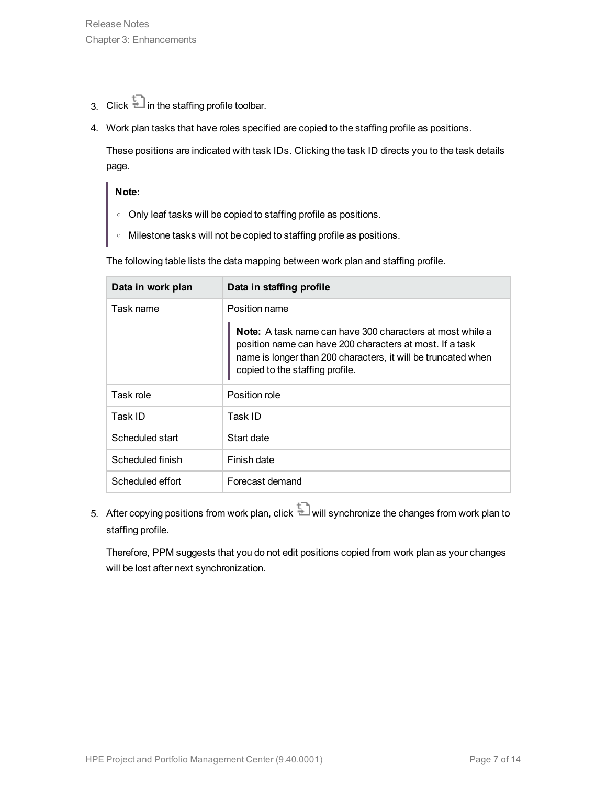- 3. Click  $\overline{t}$  in the staffing profile toolbar.
- 4. Work plan tasks that have roles specified are copied to the staffing profile as positions.

These positions are indicated with task IDs. Clicking the task ID directs you to the task details page.

#### **Note:**

- <sup>o</sup> Only leaf tasks will be copied to staffing profile as positions.
- <sup>o</sup> Milestone tasks will not be copied to staffing profile as positions.

The following table lists the data mapping between work plan and staffing profile.

| Data in work plan | Data in staffing profile                                                                                                                                                                                                         |
|-------------------|----------------------------------------------------------------------------------------------------------------------------------------------------------------------------------------------------------------------------------|
| Task name         | Position name                                                                                                                                                                                                                    |
|                   | <b>Note:</b> A task name can have 300 characters at most while a<br>position name can have 200 characters at most. If a task<br>name is longer than 200 characters, it will be truncated when<br>copied to the staffing profile. |
| Task role         | Position role                                                                                                                                                                                                                    |
| Task ID           | Task ID                                                                                                                                                                                                                          |
| Scheduled start   | Start date                                                                                                                                                                                                                       |
| Scheduled finish  | Finish date                                                                                                                                                                                                                      |
| Scheduled effort  | Forecast demand                                                                                                                                                                                                                  |

5. After copying positions from work plan, click  $\Box$  will synchronize the changes from work plan to staffing profile.

Therefore, PPM suggests that you do not edit positions copied from work plan as your changes will be lost after next synchronization.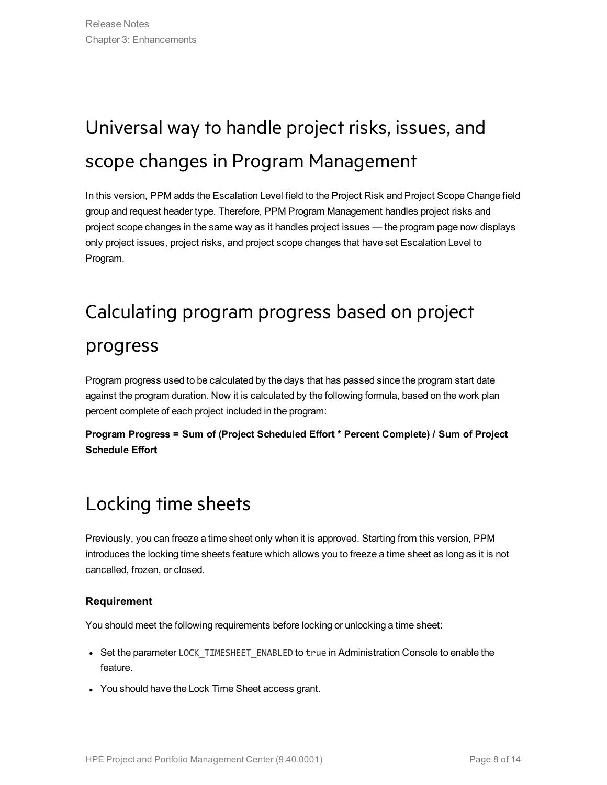# <span id="page-7-0"></span>Universal way to handle project risks, issues, and scope changes in Program Management

<span id="page-7-1"></span>In this version, PPM adds the Escalation Level field to the Project Risk and Project Scope Change field group and request header type. Therefore, PPM Program Management handles project risks and project scope changes in the same way as it handles project issues — the program page now displays only project issues, project risks, and project scope changes that have set Escalation Level to Program.

## Calculating program progress based on project

### progress

Program progress used to be calculated by the days that has passed since the program start date against the program duration. Now it is calculated by the following formula, based on the work plan percent complete of each project included in the program:

<span id="page-7-2"></span>**Program Progress = Sum of (Project Scheduled Effort \* Percent Complete) / Sum of Project Schedule Effort**

### Locking time sheets

Previously, you can freeze a time sheet only when it is approved. Starting from this version, PPM introduces the locking time sheets feature which allows you to freeze a time sheet as long as it is not cancelled, frozen, or closed.

#### **Requirement**

You should meet the following requirements before locking or unlocking a time sheet:

- Set the parameter LOCK\_TIMESHEET\_ENABLED to true in Administration Console to enable the feature.
- You should have the Lock Time Sheet access grant.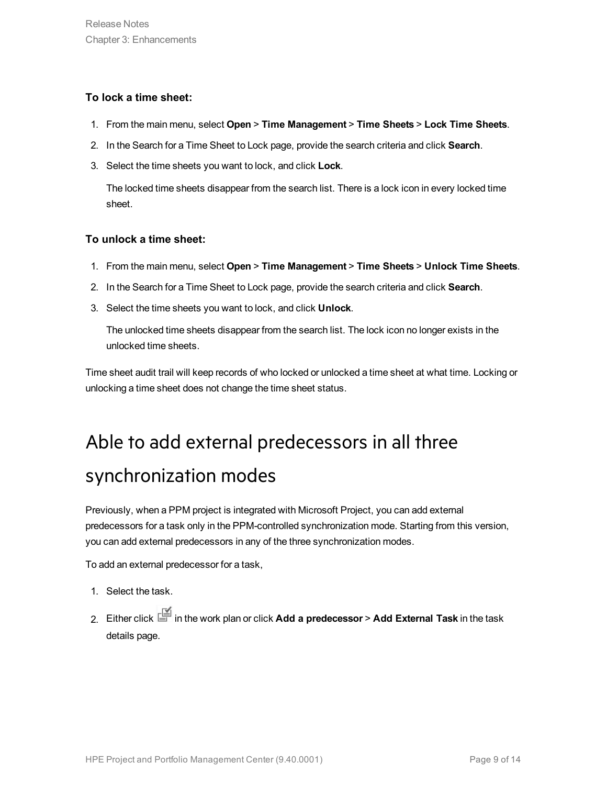#### **To lock a time sheet:**

- 1. From the main menu, select **Open** > **Time Management** > **Time Sheets** > **Lock Time Sheets**.
- 2. In the Search for a Time Sheet to Lock page, provide the search criteria and click **Search**.
- 3. Select the time sheets you want to lock, and click **Lock**.

The locked time sheets disappear from the search list. There is a lock icon in every locked time sheet.

#### **To unlock a time sheet:**

- 1. From the main menu, select **Open** > **Time Management** > **Time Sheets** > **Unlock Time Sheets**.
- 2. In the Search for a Time Sheet to Lock page, provide the search criteria and click **Search**.
- 3. Select the time sheets you want to lock, and click **Unlock**.

The unlocked time sheets disappear from the search list. The lock icon no longer exists in the unlocked time sheets.

<span id="page-8-0"></span>Time sheet audit trail will keep records of who locked or unlocked a time sheet at what time. Locking or unlocking a time sheet does not change the time sheet status.

# Able to add external predecessors in all three synchronization modes

Previously, when a PPM project is integrated with Microsoft Project, you can add external predecessors for a task only in the PPM-controlled synchronization mode. Starting from this version, you can add external predecessors in any of the three synchronization modes.

To add an external predecessor for a task,

- 1. Select the task.
- 2. Either click in the work plan or click **Add a predecessor** > **Add External Task** in the task details page.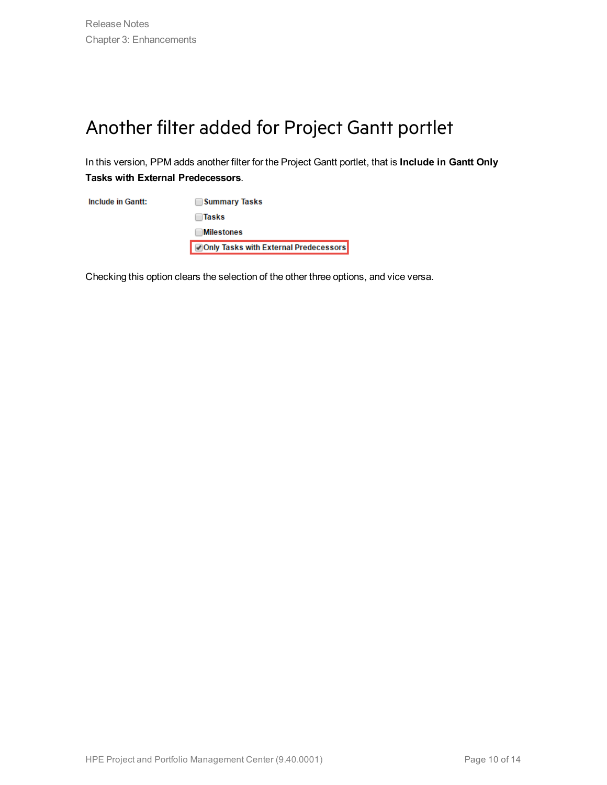### <span id="page-9-0"></span>Another filter added for Project Gantt portlet

In this version, PPM adds another filter for the Project Gantt portlet, that is **Include in Gantt Only Tasks with External Predecessors**.

**Include in Gantt:** Summary Tasks  $\Box$ Tasks **Milestones** Only Tasks with External Predecessors

Checking this option clears the selection of the other three options, and vice versa.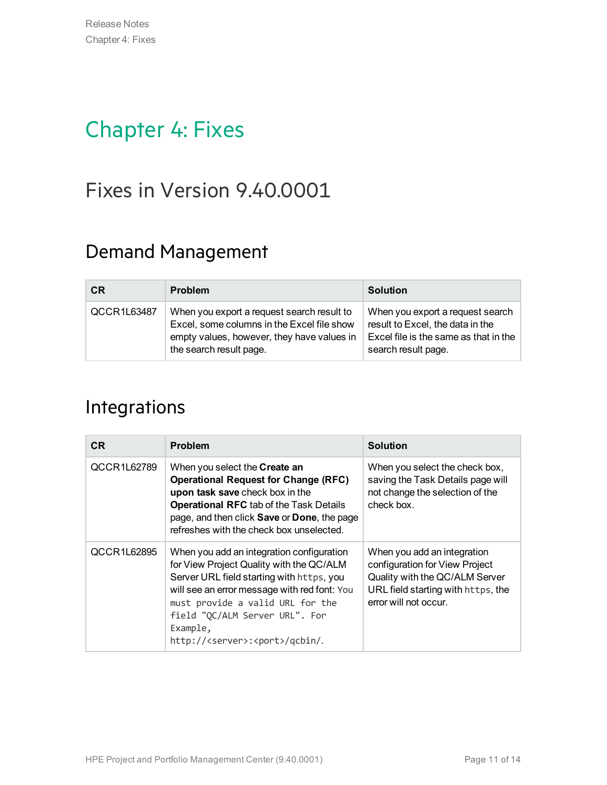## <span id="page-10-0"></span>Chapter 4: Fixes

## <span id="page-10-1"></span>Fixes in Version 9.40.0001

### Demand Management

| <b>CR</b>   | <b>Problem</b>                                                                                                                                                    | <b>Solution</b>                                                                                                                      |
|-------------|-------------------------------------------------------------------------------------------------------------------------------------------------------------------|--------------------------------------------------------------------------------------------------------------------------------------|
| QCCR1L63487 | When you export a request search result to<br>Excel, some columns in the Excel file show<br>empty values, however, they have values in<br>the search result page. | When you export a request search<br>result to Excel, the data in the<br>Excel file is the same as that in the<br>search result page. |

### Integrations

| CR.         | <b>Problem</b>                                                                                                                                                                                                                                                                                                          | <b>Solution</b>                                                                                                                                                |
|-------------|-------------------------------------------------------------------------------------------------------------------------------------------------------------------------------------------------------------------------------------------------------------------------------------------------------------------------|----------------------------------------------------------------------------------------------------------------------------------------------------------------|
| QCCR1L62789 | When you select the Create an<br><b>Operational Request for Change (RFC)</b><br>upon task save check box in the<br><b>Operational RFC tab of the Task Details</b><br>page, and then click Save or Done, the page<br>refreshes with the check box unselected.                                                            | When you select the check box,<br>saving the Task Details page will<br>not change the selection of the<br>check box.                                           |
| QCCR1L62895 | When you add an integration configuration<br>for View Project Quality with the QC/ALM<br>Server URL field starting with https, you<br>will see an error message with red font: You<br>must provide a valid URL for the<br>field "QC/ALM Server URL". For<br>Example,<br>http:// <server>:<port>/qcbin/.</port></server> | When you add an integration<br>configuration for View Project<br>Quality with the QC/ALM Server<br>URL field starting with https, the<br>error will not occur. |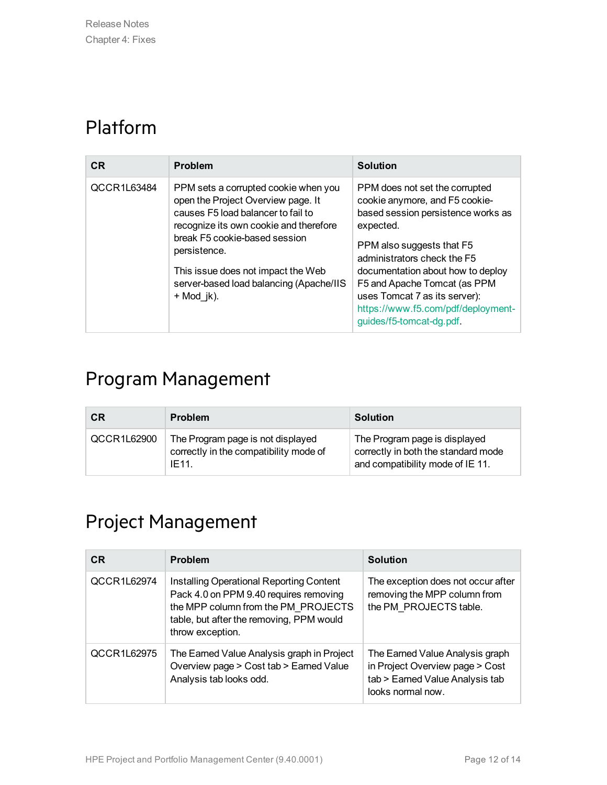### Platform

| <b>CR</b>   | <b>Problem</b>                                                                                                                                                                                                                                                                                                  | <b>Solution</b>                                                                                                                                                                                                                                                                                                                                         |
|-------------|-----------------------------------------------------------------------------------------------------------------------------------------------------------------------------------------------------------------------------------------------------------------------------------------------------------------|---------------------------------------------------------------------------------------------------------------------------------------------------------------------------------------------------------------------------------------------------------------------------------------------------------------------------------------------------------|
| QCCR1L63484 | PPM sets a corrupted cookie when you<br>open the Project Overview page. It<br>causes F5 load balancer to fail to<br>recognize its own cookie and therefore<br>break F5 cookie-based session<br>persistence.<br>This issue does not impact the Web<br>server-based load balancing (Apache/IIS<br>$+$ Mod $jk$ ). | PPM does not set the corrupted<br>cookie anymore, and F5 cookie-<br>based session persistence works as<br>expected.<br>PPM also suggests that F5<br>administrators check the F5<br>documentation about how to deploy<br>F5 and Apache Tomcat (as PPM<br>uses Tomcat 7 as its server):<br>https://www.f5.com/pdf/deployment-<br>guides/f5-tomcat-dg.pdf. |

## Program Management

| <b>CR</b>   | <b>Problem</b>                                                                       | <b>Solution</b>                                                                                          |
|-------------|--------------------------------------------------------------------------------------|----------------------------------------------------------------------------------------------------------|
| QCCR1L62900 | The Program page is not displayed<br>correctly in the compatibility mode of<br>IE11. | The Program page is displayed<br>correctly in both the standard mode<br>and compatibility mode of IE 11. |

### Project Management

| <b>CR</b>   | <b>Problem</b>                                                                                                                                                                                   | <b>Solution</b>                                                                                                            |
|-------------|--------------------------------------------------------------------------------------------------------------------------------------------------------------------------------------------------|----------------------------------------------------------------------------------------------------------------------------|
| QCCR1L62974 | <b>Installing Operational Reporting Content</b><br>Pack 4.0 on PPM 9.40 requires removing<br>the MPP column from the PM PROJECTS<br>table, but after the removing, PPM would<br>throw exception. | The exception does not occur after<br>removing the MPP column from<br>the PM PROJECTS table.                               |
| QCCR1L62975 | The Earned Value Analysis graph in Project<br>Overview page > Cost tab > Earned Value<br>Analysis tab looks odd.                                                                                 | The Earned Value Analysis graph<br>in Project Overview page > Cost<br>tab > Earned Value Analysis tab<br>looks normal now. |